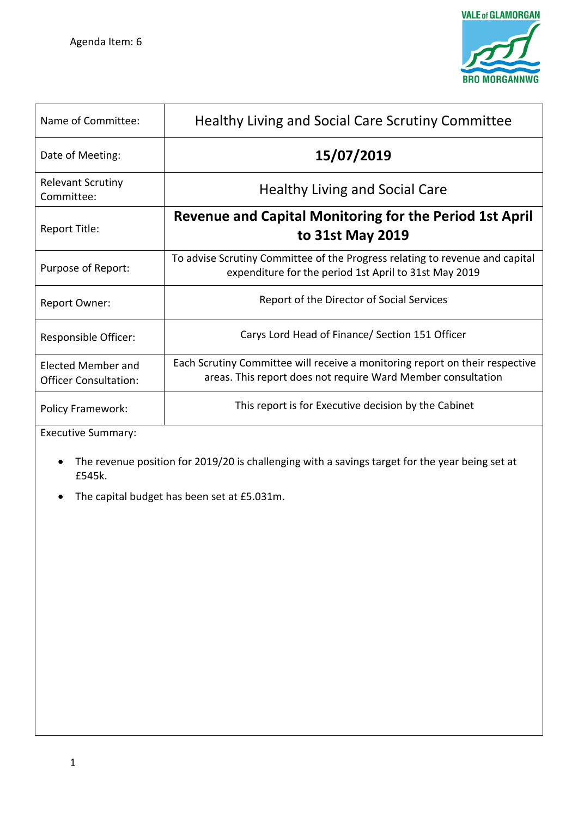

| Name of Committee:                                        | Healthy Living and Social Care Scrutiny Committee                                                                                            |
|-----------------------------------------------------------|----------------------------------------------------------------------------------------------------------------------------------------------|
| Date of Meeting:                                          | 15/07/2019                                                                                                                                   |
| <b>Relevant Scrutiny</b><br>Committee:                    | <b>Healthy Living and Social Care</b>                                                                                                        |
| Report Title:                                             | <b>Revenue and Capital Monitoring for the Period 1st April</b><br>to 31st May 2019                                                           |
| Purpose of Report:                                        | To advise Scrutiny Committee of the Progress relating to revenue and capital<br>expenditure for the period 1st April to 31st May 2019        |
| Report Owner:                                             | Report of the Director of Social Services                                                                                                    |
| Responsible Officer:                                      | Carys Lord Head of Finance/ Section 151 Officer                                                                                              |
| <b>Elected Member and</b><br><b>Officer Consultation:</b> | Each Scrutiny Committee will receive a monitoring report on their respective<br>areas. This report does not require Ward Member consultation |
| <b>Policy Framework:</b>                                  | This report is for Executive decision by the Cabinet                                                                                         |

Executive Summary:

- The revenue position for 2019/20 is challenging with a savings target for the year being set at £545k.
- The capital budget has been set at £5.031m.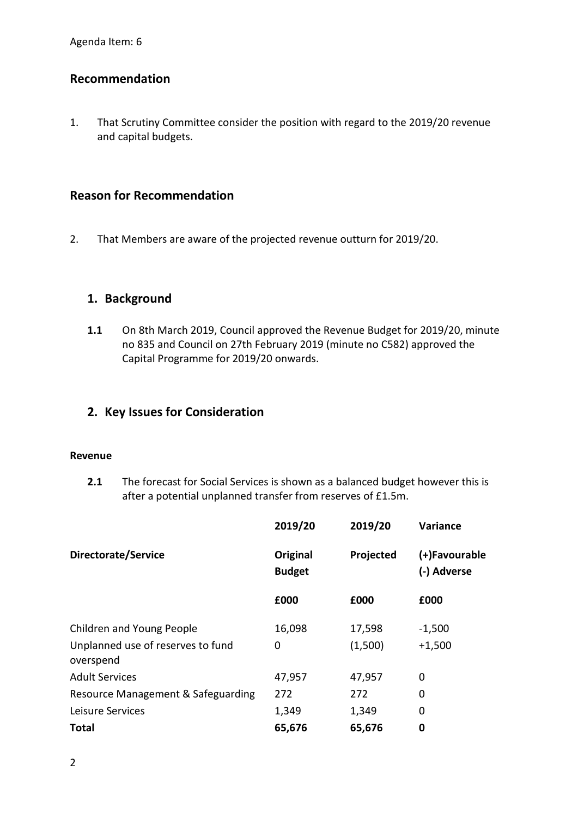# **Recommendation**

1. That Scrutiny Committee consider the position with regard to the 2019/20 revenue and capital budgets.

# **Reason for Recommendation**

2. That Members are aware of the projected revenue outturn for 2019/20.

## **1. Background**

**1.1** On 8th March 2019, Council approved the Revenue Budget for 2019/20, minute no 835 and Council on 27th February 2019 (minute no C582) approved the Capital Programme for 2019/20 onwards.

# **2. Key Issues for Consideration**

#### **Revenue**

**2.1** The forecast for Social Services is shown as a balanced budget however this is after a potential unplanned transfer from reserves of £1.5m.

|                                                | 2019/20                   | 2019/20   | Variance                     |
|------------------------------------------------|---------------------------|-----------|------------------------------|
| Directorate/Service                            | Original<br><b>Budget</b> | Projected | (+)Favourable<br>(-) Adverse |
|                                                | £000                      | £000      | £000                         |
| Children and Young People                      | 16,098                    | 17,598    | $-1,500$                     |
| Unplanned use of reserves to fund<br>overspend | 0                         | (1,500)   | $+1,500$                     |
| <b>Adult Services</b>                          | 47,957                    | 47,957    | 0                            |
| Resource Management & Safeguarding             | 272                       | 272       | 0                            |
| Leisure Services                               | 1,349                     | 1,349     | 0                            |
| Total                                          | 65,676                    | 65,676    | 0                            |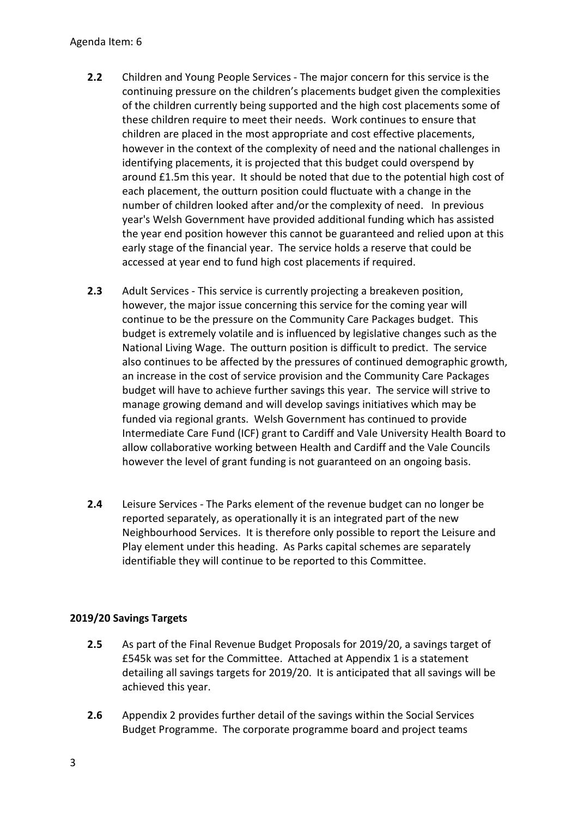#### Agenda Item: 6

- **2.2** Children and Young People Services The major concern for this service is the continuing pressure on the children's placements budget given the complexities of the children currently being supported and the high cost placements some of these children require to meet their needs. Work continues to ensure that children are placed in the most appropriate and cost effective placements, however in the context of the complexity of need and the national challenges in identifying placements, it is projected that this budget could overspend by around £1.5m this year. It should be noted that due to the potential high cost of each placement, the outturn position could fluctuate with a change in the number of children looked after and/or the complexity of need. In previous year's Welsh Government have provided additional funding which has assisted the year end position however this cannot be guaranteed and relied upon at this early stage of the financial year. The service holds a reserve that could be accessed at year end to fund high cost placements if required.
- **2.3** Adult Services This service is currently projecting a breakeven position, however, the major issue concerning this service for the coming year will continue to be the pressure on the Community Care Packages budget. This budget is extremely volatile and is influenced by legislative changes such as the National Living Wage. The outturn position is difficult to predict. The service also continues to be affected by the pressures of continued demographic growth, an increase in the cost of service provision and the Community Care Packages budget will have to achieve further savings this year. The service will strive to manage growing demand and will develop savings initiatives which may be funded via regional grants. Welsh Government has continued to provide Intermediate Care Fund (ICF) grant to Cardiff and Vale University Health Board to allow collaborative working between Health and Cardiff and the Vale Councils however the level of grant funding is not guaranteed on an ongoing basis.
- **2.4** Leisure Services The Parks element of the revenue budget can no longer be reported separately, as operationally it is an integrated part of the new Neighbourhood Services. It is therefore only possible to report the Leisure and Play element under this heading. As Parks capital schemes are separately identifiable they will continue to be reported to this Committee.

### **2019/20 Savings Targets**

- **2.5** As part of the Final Revenue Budget Proposals for 2019/20, a savings target of £545k was set for the Committee. Attached at Appendix 1 is a statement detailing all savings targets for 2019/20. It is anticipated that all savings will be achieved this year.
- **2.6** Appendix 2 provides further detail of the savings within the Social Services Budget Programme. The corporate programme board and project teams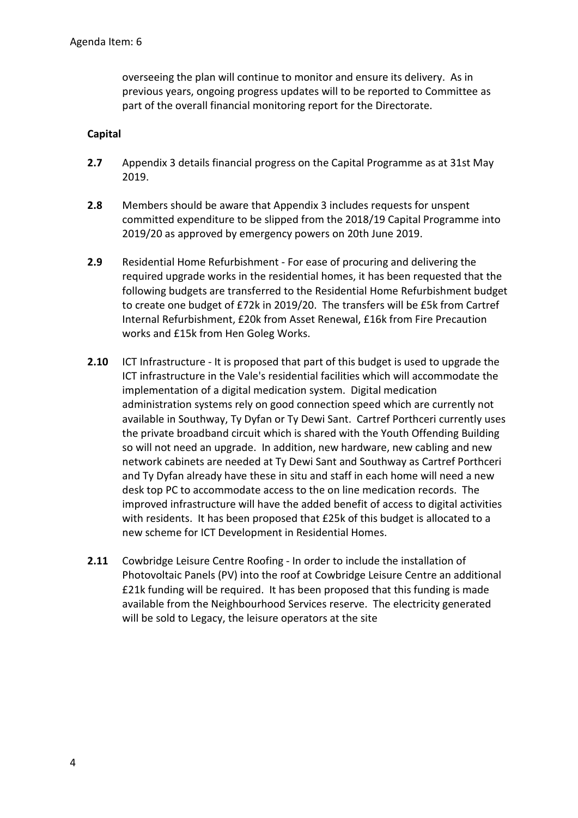overseeing the plan will continue to monitor and ensure its delivery. As in previous years, ongoing progress updates will to be reported to Committee as part of the overall financial monitoring report for the Directorate.

#### **Capital**

- **2.7** Appendix 3 details financial progress on the Capital Programme as at 31st May 2019.
- **2.8** Members should be aware that Appendix 3 includes requests for unspent committed expenditure to be slipped from the 2018/19 Capital Programme into 2019/20 as approved by emergency powers on 20th June 2019.
- **2.9** Residential Home Refurbishment For ease of procuring and delivering the required upgrade works in the residential homes, it has been requested that the following budgets are transferred to the Residential Home Refurbishment budget to create one budget of £72k in 2019/20. The transfers will be £5k from Cartref Internal Refurbishment, £20k from Asset Renewal, £16k from Fire Precaution works and £15k from Hen Goleg Works.
- **2.10** ICT Infrastructure It is proposed that part of this budget is used to upgrade the ICT infrastructure in the Vale's residential facilities which will accommodate the implementation of a digital medication system. Digital medication administration systems rely on good connection speed which are currently not available in Southway, Ty Dyfan or Ty Dewi Sant. Cartref Porthceri currently uses the private broadband circuit which is shared with the Youth Offending Building so will not need an upgrade. In addition, new hardware, new cabling and new network cabinets are needed at Ty Dewi Sant and Southway as Cartref Porthceri and Ty Dyfan already have these in situ and staff in each home will need a new desk top PC to accommodate access to the on line medication records. The improved infrastructure will have the added benefit of access to digital activities with residents. It has been proposed that £25k of this budget is allocated to a new scheme for ICT Development in Residential Homes.
- **2.11** Cowbridge Leisure Centre Roofing In order to include the installation of Photovoltaic Panels (PV) into the roof at Cowbridge Leisure Centre an additional £21k funding will be required. It has been proposed that this funding is made available from the Neighbourhood Services reserve. The electricity generated will be sold to Legacy, the leisure operators at the site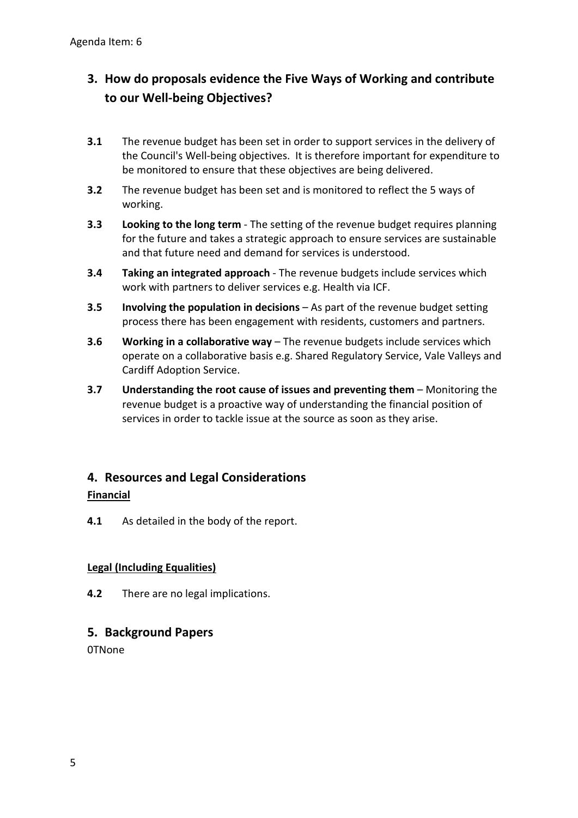# **3. How do proposals evidence the Five Ways of Working and contribute to our Well-being Objectives?**

- **3.1** The revenue budget has been set in order to support services in the delivery of the Council's Well-being objectives. It is therefore important for expenditure to be monitored to ensure that these objectives are being delivered.
- **3.2** The revenue budget has been set and is monitored to reflect the 5 ways of working.
- **3.3 Looking to the long term** The setting of the revenue budget requires planning for the future and takes a strategic approach to ensure services are sustainable and that future need and demand for services is understood.
- **3.4 Taking an integrated approach** The revenue budgets include services which work with partners to deliver services e.g. Health via ICF.
- **3.5 Involving the population in decisions** As part of the revenue budget setting process there has been engagement with residents, customers and partners.
- **3.6 Working in a collaborative way** The revenue budgets include services which operate on a collaborative basis e.g. Shared Regulatory Service, Vale Valleys and Cardiff Adoption Service.
- **3.7 Understanding the root cause of issues and preventing them** Monitoring the revenue budget is a proactive way of understanding the financial position of services in order to tackle issue at the source as soon as they arise.

# **4. Resources and Legal Considerations**

### **Financial**

**4.1** As detailed in the body of the report.

### **Legal (Including Equalities)**

**4.2** There are no legal implications.

# **5. Background Papers**

0TNone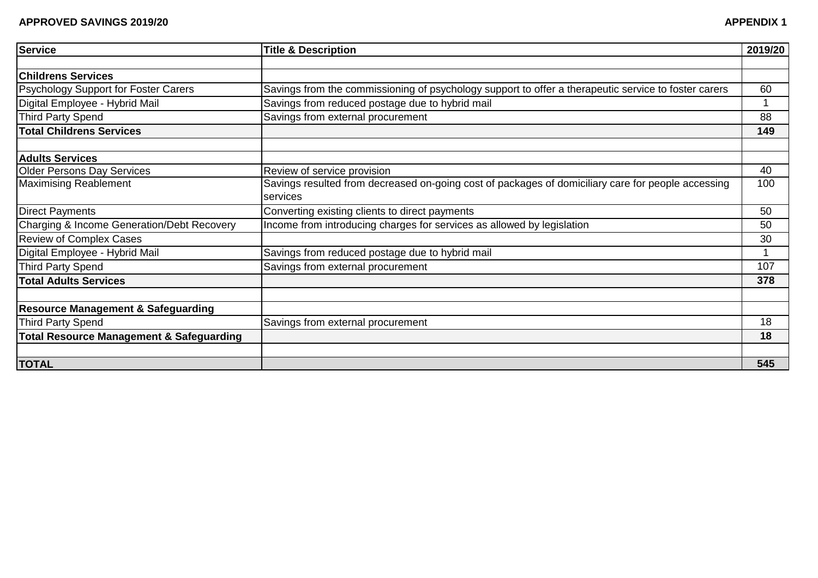| <b>Service</b>                                      | <b>Title &amp; Description</b>                                                                                 | 2019/20 |
|-----------------------------------------------------|----------------------------------------------------------------------------------------------------------------|---------|
|                                                     |                                                                                                                |         |
| <b>Childrens Services</b>                           |                                                                                                                |         |
| <b>Psychology Support for Foster Carers</b>         | Savings from the commissioning of psychology support to offer a therapeutic service to foster carers           | 60      |
| Digital Employee - Hybrid Mail                      | Savings from reduced postage due to hybrid mail                                                                |         |
| <b>Third Party Spend</b>                            | Savings from external procurement                                                                              | 88      |
| <b>Total Childrens Services</b>                     |                                                                                                                | 149     |
| <b>Adults Services</b>                              |                                                                                                                |         |
| <b>Older Persons Day Services</b>                   | Review of service provision                                                                                    | 40      |
| <b>Maximising Reablement</b>                        | Savings resulted from decreased on-going cost of packages of domiciliary care for people accessing<br>services | 100     |
| <b>Direct Payments</b>                              | Converting existing clients to direct payments                                                                 | 50      |
| Charging & Income Generation/Debt Recovery          | Income from introducing charges for services as allowed by legislation                                         | 50      |
| <b>Review of Complex Cases</b>                      |                                                                                                                | 30      |
| Digital Employee - Hybrid Mail                      | Savings from reduced postage due to hybrid mail                                                                |         |
| <b>Third Party Spend</b>                            | Savings from external procurement                                                                              | 107     |
| <b>Total Adults Services</b>                        |                                                                                                                | 378     |
| <b>Resource Management &amp; Safeguarding</b>       |                                                                                                                |         |
| <b>Third Party Spend</b>                            | Savings from external procurement                                                                              | 18      |
| <b>Total Resource Management &amp; Safeguarding</b> |                                                                                                                | 18      |
|                                                     |                                                                                                                |         |
| <b>TOTAL</b>                                        |                                                                                                                | 545     |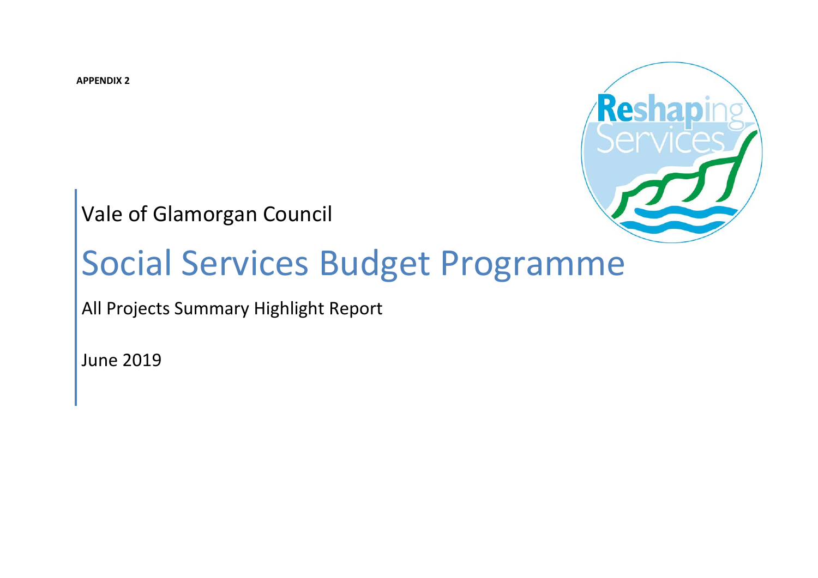**APPENDIX 2**



Vale of Glamorgan Council

# Social Services Budget Programme

All Projects Summary Highlight Report

June 2019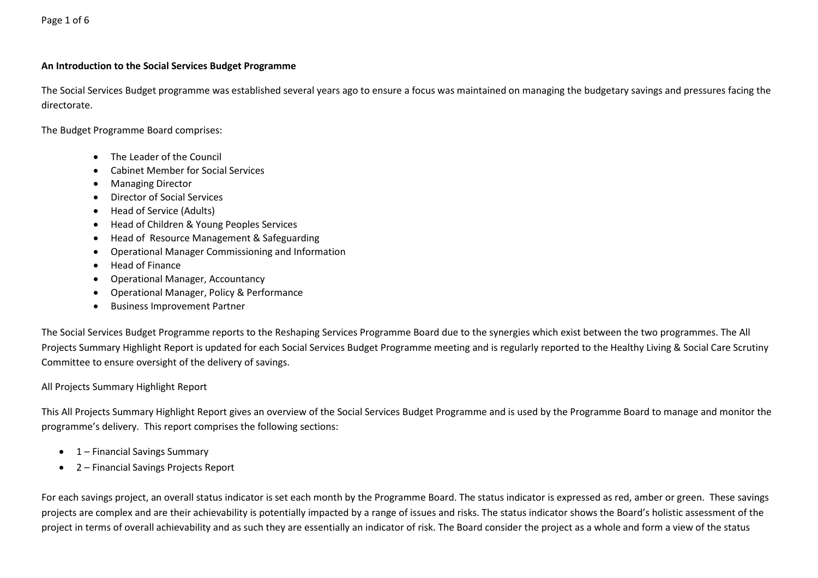#### **An Introduction to the Social Services Budget Programme**

The Social Services Budget programme was established several years ago to ensure a focus was maintained on managing the budgetary savings and pressures facing the directorate.

The Budget Programme Board comprises:

- The Leader of the Council
- Cabinet Member for Social Services
- Managing Director
- Director of Social Services
- Head of Service (Adults)
- Head of Children & Young Peoples Services
- Head of Resource Management & Safeguarding
- Operational Manager Commissioning and Information
- Head of Finance
- Operational Manager, Accountancy
- Operational Manager, Policy & Performance
- Business Improvement Partner

The Social Services Budget Programme reports to the Reshaping Services Programme Board due to the synergies which exist between the two programmes. The All Projects Summary Highlight Report is updated for each Social Services Budget Programme meeting and is regularly reported to the Healthy Living & Social Care Scrutiny Committee to ensure oversight of the delivery of savings.

#### All Projects Summary Highlight Report

This All Projects Summary Highlight Report gives an overview of the Social Services Budget Programme and is used by the Programme Board to manage and monitor the programme's delivery. This report comprises the following sections:

- 1 Financial Savings Summary
- 2 Financial Savings Projects Report

For each savings project, an overall status indicator is set each month by the Programme Board. The status indicator is expressed as red, amber or green. These savings projects are complex and are their achievability is potentially impacted by a range of issues and risks. The status indicator shows the Board's holistic assessment of the project in terms of overall achievability and as such they are essentially an indicator of risk. The Board consider the project as a whole and form a view of the status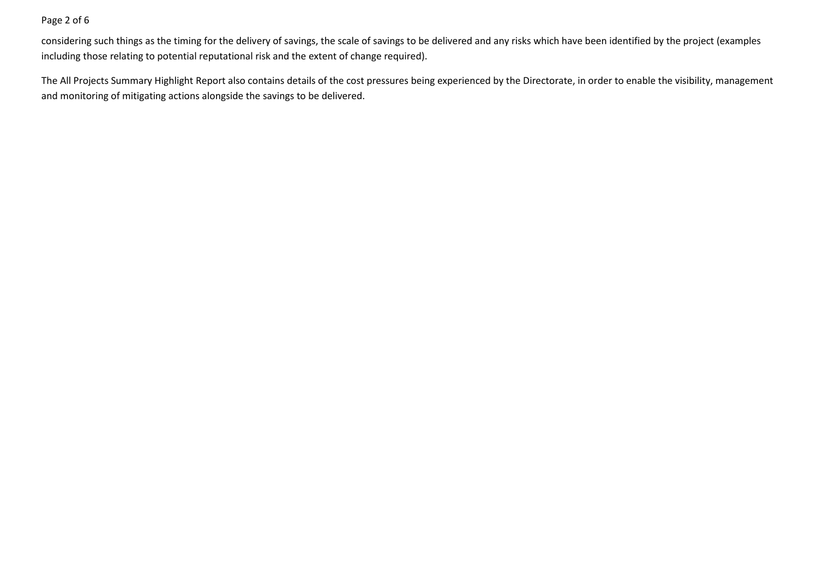#### Page 2 of 6

considering such things as the timing for the delivery of savings, the scale of savings to be delivered and any risks which have been identified by the project (examples including those relating to potential reputational risk and the extent of change required).

The All Projects Summary Highlight Report also contains details of the cost pressures being experienced by the Directorate, in order to enable the visibility, management and monitoring of mitigating actions alongside the savings to be delivered.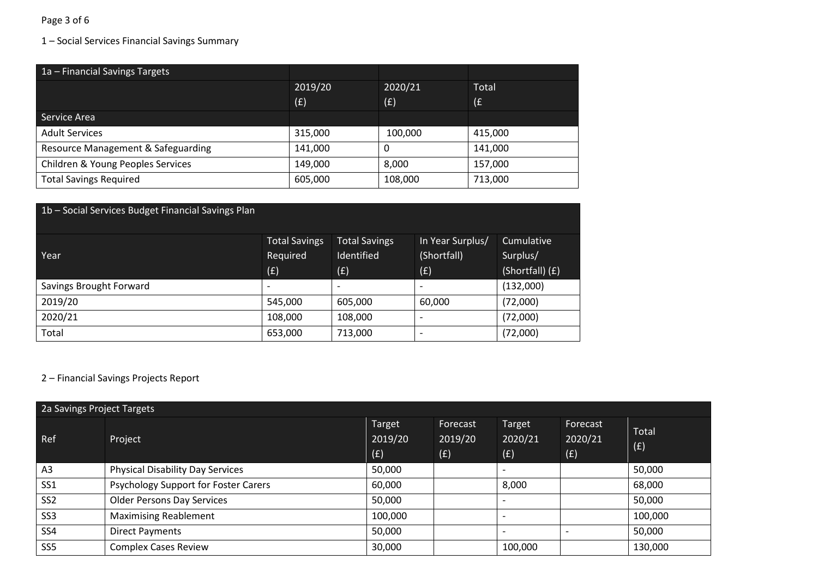## Page 3 of 6

# 1 – Social Services Financial Savings Summary

| 1a - Financial Savings Targets     |         |         |         |
|------------------------------------|---------|---------|---------|
|                                    | 2019/20 | 2020/21 | Total   |
|                                    | (E)     | (E)     | (£      |
| Service Area                       |         |         |         |
| <b>Adult Services</b>              | 315,000 | 100,000 | 415,000 |
| Resource Management & Safeguarding | 141,000 | 0       | 141,000 |
| Children & Young Peoples Services  | 149,000 | 8,000   | 157,000 |
| <b>Total Savings Required</b>      | 605,000 | 108,000 | 713,000 |

| 1b - Social Services Budget Financial Savings Plan |                          |                          |                  |                 |
|----------------------------------------------------|--------------------------|--------------------------|------------------|-----------------|
|                                                    | <b>Total Savings</b>     | <b>Total Savings</b>     | In Year Surplus/ | Cumulative      |
| Year                                               | Required                 | Identified               | (Shortfall)      | Surplus/        |
|                                                    | (E)                      | (f)                      | (E)              | (Shortfall) (£) |
| Savings Brought Forward                            | $\overline{\phantom{0}}$ | $\overline{\phantom{a}}$ |                  | (132,000)       |
| 2019/20                                            | 545,000                  | 605,000                  | 60,000           | (72,000)        |
| 2020/21                                            | 108,000                  | 108,000                  |                  | (72,000)        |
| Total                                              | 653,000                  | 713,000                  |                  | (72,000)        |

# 2 – Financial Savings Projects Report

|                 | 2a Savings Project Targets              |                          |                            |                          |                            |              |  |  |
|-----------------|-----------------------------------------|--------------------------|----------------------------|--------------------------|----------------------------|--------------|--|--|
| Ref             | Project                                 | Target<br>2019/20<br>(E) | Forecast<br>2019/20<br>(f) | Target<br>2020/21<br>(E) | Forecast<br>2020/21<br>(E) | Total<br>(f) |  |  |
| A <sub>3</sub>  | <b>Physical Disability Day Services</b> | 50,000                   |                            | $\overline{\phantom{a}}$ |                            | 50,000       |  |  |
| SS <sub>1</sub> | Psychology Support for Foster Carers    | 60,000                   |                            | 8,000                    |                            | 68,000       |  |  |
| SS <sub>2</sub> | <b>Older Persons Day Services</b>       | 50,000                   |                            |                          |                            | 50,000       |  |  |
| SS <sub>3</sub> | <b>Maximising Reablement</b>            | 100,000                  |                            | $\overline{\phantom{0}}$ |                            | 100,000      |  |  |
| SS4             | <b>Direct Payments</b>                  | 50,000                   |                            | $\overline{\phantom{0}}$ |                            | 50,000       |  |  |
| SS <sub>5</sub> | <b>Complex Cases Review</b>             | 30,000                   |                            | 100,000                  |                            | 130,000      |  |  |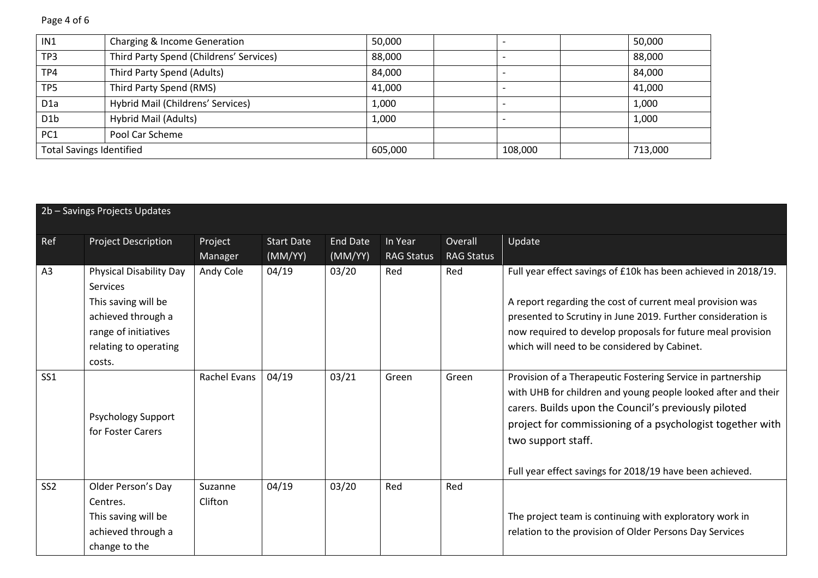Page 4 of 6

| IN1                             | Charging & Income Generation            | 50,000  |                          | 50,000  |
|---------------------------------|-----------------------------------------|---------|--------------------------|---------|
| TP3                             | Third Party Spend (Childrens' Services) | 88,000  |                          | 88,000  |
| TP4                             | Third Party Spend (Adults)              | 84,000  |                          | 84,000  |
| TP <sub>5</sub>                 | Third Party Spend (RMS)                 | 41,000  |                          | 41,000  |
| D <sub>1</sub> a                | Hybrid Mail (Childrens' Services)       | 1,000   |                          | 1,000   |
| D <sub>1</sub> b                | Hybrid Mail (Adults)                    | 1,000   | $\overline{\phantom{a}}$ | 1,000   |
| PC <sub>1</sub>                 | Pool Car Scheme                         |         |                          |         |
| <b>Total Savings Identified</b> |                                         | 605,000 | 108,000                  | 713,000 |

|                 | 2b - Savings Projects Updates                                                                                                                             |                    |                              |                            |                              |                              |                                                                                                                                                                                                                                                                                                                                     |
|-----------------|-----------------------------------------------------------------------------------------------------------------------------------------------------------|--------------------|------------------------------|----------------------------|------------------------------|------------------------------|-------------------------------------------------------------------------------------------------------------------------------------------------------------------------------------------------------------------------------------------------------------------------------------------------------------------------------------|
| Ref             | <b>Project Description</b>                                                                                                                                | Project<br>Manager | <b>Start Date</b><br>(MM/YY) | <b>End Date</b><br>(MM/YY) | In Year<br><b>RAG Status</b> | Overall<br><b>RAG Status</b> | Update                                                                                                                                                                                                                                                                                                                              |
| A3              | <b>Physical Disability Day</b><br><b>Services</b><br>This saving will be<br>achieved through a<br>range of initiatives<br>relating to operating<br>costs. | Andy Cole          | 04/19                        | 03/20                      | Red                          | Red                          | Full year effect savings of £10k has been achieved in 2018/19.<br>A report regarding the cost of current meal provision was<br>presented to Scrutiny in June 2019. Further consideration is<br>now required to develop proposals for future meal provision<br>which will need to be considered by Cabinet.                          |
| SS1             | Psychology Support<br>for Foster Carers                                                                                                                   | Rachel Evans       | 04/19                        | 03/21                      | Green                        | Green                        | Provision of a Therapeutic Fostering Service in partnership<br>with UHB for children and young people looked after and their<br>carers. Builds upon the Council's previously piloted<br>project for commissioning of a psychologist together with<br>two support staff.<br>Full year effect savings for 2018/19 have been achieved. |
| SS <sub>2</sub> | Older Person's Day<br>Centres.<br>This saving will be<br>achieved through a<br>change to the                                                              | Suzanne<br>Clifton | 04/19                        | 03/20                      | Red                          | Red                          | The project team is continuing with exploratory work in<br>relation to the provision of Older Persons Day Services                                                                                                                                                                                                                  |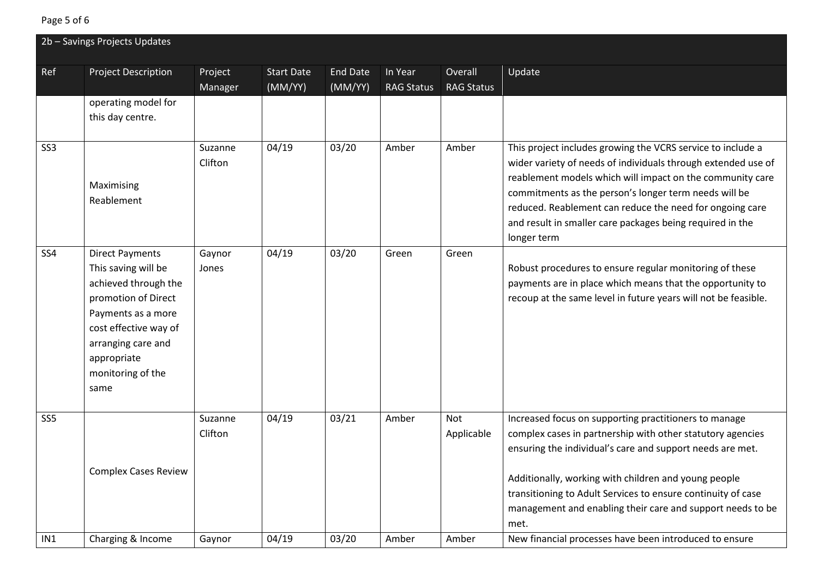# Page 5 of 6

|                 | 2b - Savings Projects Updates                 |                 |                   |                 |                   |                   |                                                                |
|-----------------|-----------------------------------------------|-----------------|-------------------|-----------------|-------------------|-------------------|----------------------------------------------------------------|
| Ref             | <b>Project Description</b>                    | Project         | <b>Start Date</b> | <b>End Date</b> | In Year           | Overall           | Update                                                         |
|                 |                                               | Manager         | (MM/YY)           | (MM/YY)         | <b>RAG Status</b> | <b>RAG Status</b> |                                                                |
|                 | operating model for                           |                 |                   |                 |                   |                   |                                                                |
|                 | this day centre.                              |                 |                   |                 |                   |                   |                                                                |
|                 |                                               |                 |                   |                 |                   |                   |                                                                |
| SS <sub>3</sub> |                                               | Suzanne         | 04/19             | 03/20           | Amber             | Amber             | This project includes growing the VCRS service to include a    |
|                 |                                               | Clifton         |                   |                 |                   |                   | wider variety of needs of individuals through extended use of  |
|                 | Maximising                                    |                 |                   |                 |                   |                   | reablement models which will impact on the community care      |
|                 | Reablement                                    |                 |                   |                 |                   |                   | commitments as the person's longer term needs will be          |
|                 |                                               |                 |                   |                 |                   |                   | reduced. Reablement can reduce the need for ongoing care       |
|                 |                                               |                 |                   |                 |                   |                   | and result in smaller care packages being required in the      |
| SS <sub>4</sub> |                                               |                 |                   |                 |                   |                   | longer term                                                    |
|                 | <b>Direct Payments</b><br>This saving will be | Gaynor<br>Jones | 04/19             | 03/20           | Green             | Green             | Robust procedures to ensure regular monitoring of these        |
|                 | achieved through the                          |                 |                   |                 |                   |                   | payments are in place which means that the opportunity to      |
|                 | promotion of Direct                           |                 |                   |                 |                   |                   | recoup at the same level in future years will not be feasible. |
|                 | Payments as a more                            |                 |                   |                 |                   |                   |                                                                |
|                 | cost effective way of                         |                 |                   |                 |                   |                   |                                                                |
|                 | arranging care and                            |                 |                   |                 |                   |                   |                                                                |
|                 | appropriate                                   |                 |                   |                 |                   |                   |                                                                |
|                 | monitoring of the                             |                 |                   |                 |                   |                   |                                                                |
|                 | same                                          |                 |                   |                 |                   |                   |                                                                |
|                 |                                               |                 |                   |                 |                   |                   |                                                                |
| SS <sub>5</sub> |                                               | Suzanne         | 04/19             | 03/21           | Amber             | Not               | Increased focus on supporting practitioners to manage          |
|                 |                                               | Clifton         |                   |                 |                   | Applicable        | complex cases in partnership with other statutory agencies     |
|                 |                                               |                 |                   |                 |                   |                   | ensuring the individual's care and support needs are met.      |
|                 | <b>Complex Cases Review</b>                   |                 |                   |                 |                   |                   |                                                                |
|                 |                                               |                 |                   |                 |                   |                   | Additionally, working with children and young people           |
|                 |                                               |                 |                   |                 |                   |                   | transitioning to Adult Services to ensure continuity of case   |
|                 |                                               |                 |                   |                 |                   |                   | management and enabling their care and support needs to be     |
|                 |                                               |                 |                   |                 |                   |                   | met.                                                           |
| IN1             | Charging & Income                             | Gaynor          | 04/19             | 03/20           | Amber             | Amber             | New financial processes have been introduced to ensure         |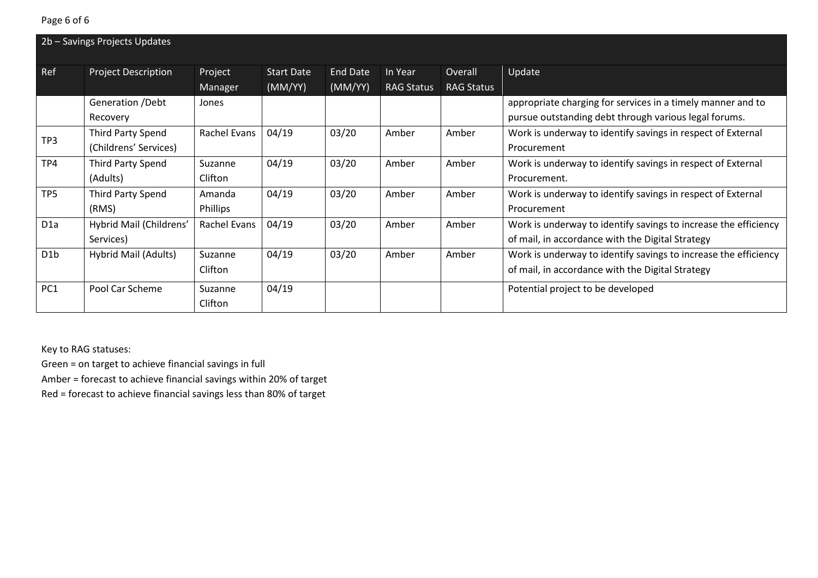|                  | 2b - Savings Projects Updates |              |                   |          |                   |                   |                                                                 |
|------------------|-------------------------------|--------------|-------------------|----------|-------------------|-------------------|-----------------------------------------------------------------|
| Ref              | <b>Project Description</b>    | Project      | <b>Start Date</b> | End Date | In Year           | Overall           | Update                                                          |
|                  |                               | Manager      | (MM/YY)           | (MM/YY)  | <b>RAG Status</b> | <b>RAG Status</b> |                                                                 |
|                  | Generation / Debt             | Jones        |                   |          |                   |                   | appropriate charging for services in a timely manner and to     |
|                  | Recovery                      |              |                   |          |                   |                   | pursue outstanding debt through various legal forums.           |
| TP3              | Third Party Spend             | Rachel Evans | 04/19             | 03/20    | Amber             | Amber             | Work is underway to identify savings in respect of External     |
|                  | (Childrens' Services)         |              |                   |          |                   |                   | Procurement                                                     |
| TP4              | Third Party Spend             | Suzanne      | 04/19             | 03/20    | Amber             | Amber             | Work is underway to identify savings in respect of External     |
|                  | (Adults)                      | Clifton      |                   |          |                   |                   | Procurement.                                                    |
| TP <sub>5</sub>  | Third Party Spend             | Amanda       | 04/19             | 03/20    | Amber             | Amber             | Work is underway to identify savings in respect of External     |
|                  | (RMS)                         | Phillips     |                   |          |                   |                   | Procurement                                                     |
| D <sub>1</sub> a | Hybrid Mail (Childrens'       | Rachel Evans | 04/19             | 03/20    | Amber             | Amber             | Work is underway to identify savings to increase the efficiency |
|                  | Services)                     |              |                   |          |                   |                   | of mail, in accordance with the Digital Strategy                |
| D <sub>1</sub> b | Hybrid Mail (Adults)          | Suzanne      | 04/19             | 03/20    | Amber             | Amber             | Work is underway to identify savings to increase the efficiency |
|                  |                               | Clifton      |                   |          |                   |                   | of mail, in accordance with the Digital Strategy                |
| PC <sub>1</sub>  | Pool Car Scheme               | Suzanne      | 04/19             |          |                   |                   | Potential project to be developed                               |
|                  |                               | Clifton      |                   |          |                   |                   |                                                                 |

Key to RAG statuses:

Green = on target to achieve financial savings in full

Amber = forecast to achieve financial savings within 20% of target

Red = forecast to achieve financial savings less than 80% of target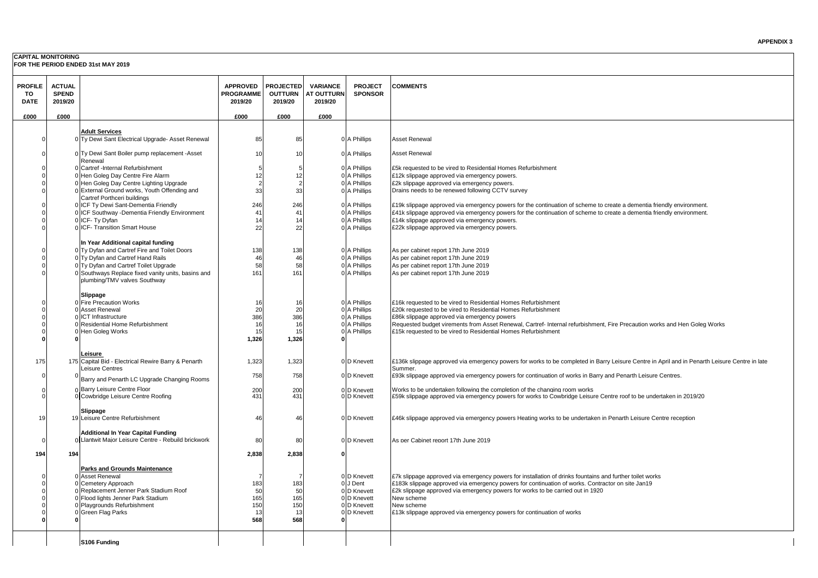#### **CAPITAL MONITORING**

**FOR THE PERIOD ENDED 31st MAY 2019**

|                |               |                                                                                    |                  |                  |                   |                         | <b>COMMENTS</b>                                                                                                                                                                    |
|----------------|---------------|------------------------------------------------------------------------------------|------------------|------------------|-------------------|-------------------------|------------------------------------------------------------------------------------------------------------------------------------------------------------------------------------|
| <b>PROFILE</b> | <b>ACTUAL</b> |                                                                                    | <b>APPROVED</b>  | <b>PROJECTED</b> | <b>VARIANCE</b>   | <b>PROJECT</b>          |                                                                                                                                                                                    |
| TO             | <b>SPEND</b>  |                                                                                    | <b>PROGRAMME</b> | <b>OUTTURN</b>   | <b>AT OUTTURN</b> | <b>SPONSOR</b>          |                                                                                                                                                                                    |
| <b>DATE</b>    | 2019/20       |                                                                                    | 2019/20          | 2019/20          | 2019/20           |                         |                                                                                                                                                                                    |
| £000           | £000          |                                                                                    | £000             | £000             | £000              |                         |                                                                                                                                                                                    |
|                |               |                                                                                    |                  |                  |                   |                         |                                                                                                                                                                                    |
|                |               | <b>Adult Services</b>                                                              |                  |                  |                   |                         |                                                                                                                                                                                    |
|                |               | 0 Ty Dewi Sant Electrical Upgrade- Asset Renewal                                   | 85               | 85               |                   | 0 A Phillips            | Asset Renewal                                                                                                                                                                      |
|                |               |                                                                                    |                  |                  |                   |                         |                                                                                                                                                                                    |
|                |               | 0 Ty Dewi Sant Boiler pump replacement -Asset                                      | 10               | 1 <sub>0</sub>   |                   | 0 A Phillips            | Asset Renewal                                                                                                                                                                      |
|                |               | Renewal                                                                            |                  |                  |                   |                         |                                                                                                                                                                                    |
|                |               | 0 Cartref - Internal Refurbishment                                                 | 5                |                  |                   | 0 A Phillips            | £5k requested to be vired to Residential Homes Refurbishment                                                                                                                       |
|                |               | 0 Hen Goleg Day Centre Fire Alarm                                                  | 12               | 12               |                   | 0 A Phillips            | £12k slippage approved via emergency powers.                                                                                                                                       |
|                |               | 0 Hen Goleg Day Centre Lighting Upgrade                                            | $\overline{2}$   |                  |                   | 0 A Phillips            | £2k slippage approved via emergency powers.                                                                                                                                        |
|                |               | 0 External Ground works, Youth Offending and                                       | 33               | 33               |                   | 0 A Phillips            | Drains needs to be renewed following CCTV survey                                                                                                                                   |
|                |               | Cartref Porthceri buildings                                                        |                  |                  |                   |                         |                                                                                                                                                                                    |
|                |               | 0 ICF Ty Dewi Sant-Dementia Friendly                                               | 246              | 246              |                   | 0 A Phillips            | £19k slippage approved via emergency powers for the continuation of scheme to create a dementia friendly environment.                                                              |
|                |               | 0 ICF Southway -Dementia Friendly Environment                                      | 41               | 41               |                   | 0 A Phillips            | £41k slippage approved via emergency powers for the continuation of scheme to create a dementia friendly environment.                                                              |
|                |               | 0 ICF- Ty Dyfan                                                                    | 14               | 14               |                   | 0 A Phillips            | £14k slippage approved via emergency powers.                                                                                                                                       |
|                |               | 0 ICF- Transition Smart House                                                      | 22               | 22               |                   | 0 A Phillips            | £22k slippage approved via emergency powers.                                                                                                                                       |
|                |               |                                                                                    |                  |                  |                   |                         |                                                                                                                                                                                    |
|                |               |                                                                                    |                  |                  |                   |                         |                                                                                                                                                                                    |
|                |               | In Year Additional capital funding                                                 | 138              | 138              |                   | 0 A Phillips            |                                                                                                                                                                                    |
|                |               | 0 Ty Dyfan and Cartref Fire and Toilet Doors                                       |                  | 46               |                   | 0 A Phillips            | As per cabinet report 17th June 2019                                                                                                                                               |
|                |               | 0 Ty Dyfan and Cartref Hand Rails                                                  | 46               |                  |                   |                         | As per cabinet report 17th June 2019                                                                                                                                               |
|                |               | 0 Ty Dyfan and Cartref Toilet Upgrade                                              | 58               | 58               |                   | 0 A Phillips            | As per cabinet report 17th June 2019                                                                                                                                               |
|                |               | 0 Southways Replace fixed vanity units, basins and<br>plumbing/TMV valves Southway | 161              | 161              |                   | 0 A Phillips            | As per cabinet report 17th June 2019                                                                                                                                               |
|                |               |                                                                                    |                  |                  |                   |                         |                                                                                                                                                                                    |
|                |               |                                                                                    |                  |                  |                   |                         |                                                                                                                                                                                    |
|                |               | Slippage<br>0 Fire Precaution Works                                                |                  |                  |                   | 0 A Phillips            | £16k requested to be vired to Residential Homes Refurbishment                                                                                                                      |
|                |               | 0 Asset Renewal                                                                    | 16<br>20         | 16<br>20         |                   | 0 A Phillips            | £20k requested to be vired to Residential Homes Refurbishment                                                                                                                      |
|                |               | 0 ICT Infrastructure                                                               | 386              | 386              |                   | 0 A Phillips            |                                                                                                                                                                                    |
|                |               | 0 Residential Home Refurbishment                                                   | 16               | 16               |                   | 0 A Phillips            | £86k slippage approved via emergency powers<br>Requested budget virements from Asset Renewal, Cartref- Internal refurbishment, Fire Precaution works and Hen Goleg Works           |
|                |               | 0 Hen Goleg Works                                                                  | 15               | 15               |                   | 0 A Phillips            | £15k requested to be vired to Residential Homes Refurbishment                                                                                                                      |
|                |               |                                                                                    | 1,326            | 1,326            |                   |                         |                                                                                                                                                                                    |
|                |               |                                                                                    |                  |                  |                   |                         |                                                                                                                                                                                    |
|                |               | <u>Leisure</u>                                                                     |                  |                  |                   |                         |                                                                                                                                                                                    |
| 175            |               | 175 Capital Bid - Electrical Rewire Barry & Penarth                                | 1,323            | 1,323            |                   | 0 D Knevett             | £136k slippage approved via emergency powers for works to be completed in Barry Leisure Centre in April and in Penarth Leisure Centre in late                                      |
|                |               | Leisure Centres                                                                    |                  |                  |                   |                         | Summer.                                                                                                                                                                            |
|                |               |                                                                                    | 758              | 758              |                   | 0 D Knevett             | £93k slippage approved via emergency powers for continuation of works in Barry and Penarth Leisure Centres.                                                                        |
|                |               | Barry and Penarth LC Upgrade Changing Rooms                                        |                  |                  |                   |                         |                                                                                                                                                                                    |
|                |               | n Barry Leisure Centre Floor                                                       | 200              | 200              |                   | 0 D Knevett             | Works to be undertaken following the completion of the changing room works                                                                                                         |
|                |               | Cowbridge Leisure Centre Roofing                                                   | 431              | 431              |                   | 0 D Knevett             | £59k slippage approved via emergency powers for works to Cowbridge Leisure Centre roof to be undertaken in 2019/20                                                                 |
|                |               |                                                                                    |                  |                  |                   |                         |                                                                                                                                                                                    |
|                |               | Slippage                                                                           |                  |                  |                   |                         |                                                                                                                                                                                    |
| 19             |               | 19 Leisure Centre Refurbishment                                                    | 46               | 46               |                   | 0 D Knevett             | £46k slippage approved via emergency powers Heating works to be undertaken in Penarth Leisure Centre reception                                                                     |
|                |               |                                                                                    |                  |                  |                   |                         |                                                                                                                                                                                    |
|                |               | <b>Additional In Year Capital Funding</b>                                          |                  |                  |                   |                         |                                                                                                                                                                                    |
|                |               | 0 Llantwit Major Leisure Centre - Rebuild brickwork                                | 80               | 80               |                   | 0 D Knevett             | As per Cabinet report 17th June 2019                                                                                                                                               |
| 194            | 194           |                                                                                    | 2,838            | 2,838            | $\Omega$          |                         |                                                                                                                                                                                    |
|                |               |                                                                                    |                  |                  |                   |                         |                                                                                                                                                                                    |
|                |               |                                                                                    |                  |                  |                   |                         |                                                                                                                                                                                    |
|                |               | <b>Parks and Grounds Maintenance</b>                                               | $\overline{7}$   |                  |                   |                         |                                                                                                                                                                                    |
|                |               | 0 Asset Renewal                                                                    |                  |                  |                   | 0 D Knevett<br>0 J Dent | £7k slippage approved via emergency powers for installation of drinks fountains and further toilet works                                                                           |
|                |               | 0 Cemetery Approach<br>0 Replacement Jenner Park Stadium Roof                      | 183<br>50        | 183<br>50        |                   | 0 D Knevett             | £183k slippage approved via emergency powers for continuation of works. Contractor on site Jan19<br>£2k slippage approved via emergency powers for works to be carried out in 1920 |
|                |               | 0 Flood lights Jenner Park Stadium                                                 | 165              | 165              |                   | 0 D Knevett             | New scheme                                                                                                                                                                         |
|                |               | 0 Playgrounds Refurbishment                                                        | 150              | 150              |                   | 0D Knevett              | New scheme                                                                                                                                                                         |
|                |               | 0 Green Flag Parks                                                                 | 13               | 13               |                   | 0 D Knevett             | £13k slippage approved via emergency powers for continuation of works                                                                                                              |
|                |               |                                                                                    | 568              | 568              |                   |                         |                                                                                                                                                                                    |
|                |               |                                                                                    |                  |                  |                   |                         |                                                                                                                                                                                    |
|                |               |                                                                                    |                  |                  |                   |                         |                                                                                                                                                                                    |
|                |               | S106 Funding                                                                       |                  |                  |                   |                         |                                                                                                                                                                                    |
|                |               |                                                                                    |                  |                  |                   |                         |                                                                                                                                                                                    |